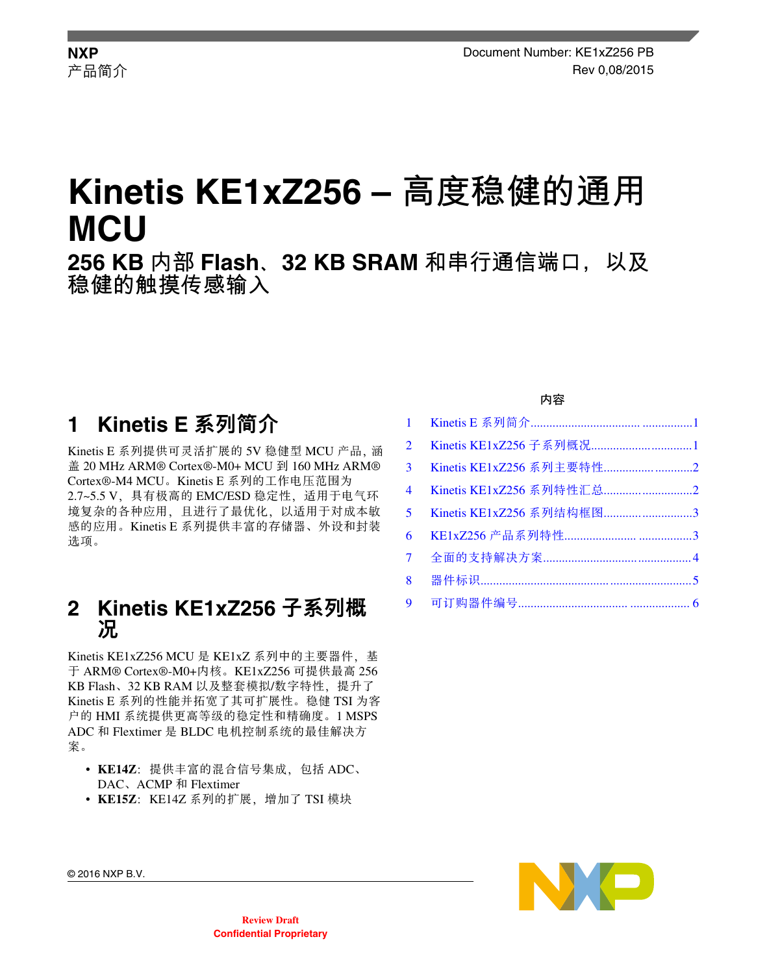# **Kinetis KE1xZ256 – 高度稳健的通用 MCU 256 KB 内部 Flash、32 KB SRAM 和串行通信端口,以及 稳健的触摸传感输入**

## **1 Kinetis E** 系列简介

Kinetis E 系列提供可灵活扩展的 5V 稳健型 MCU 产品, 涵 盖 20 MHz ARM® Cortex®-M0+ MCU 到 160 MHz ARM® Cortex®-M4 MCU。Kinetis E 系列的工作电压范围为 2.7~5.5 V, 具有极高的 EMC/ESD 稳定性, 适用于电气环 境复杂的各种应用,且进行了最优化,以适用于对成本敏 感的应用。Kinetis E 系列提供丰富的存储器、外设和封装 选项。

### **2 Kinetis KE1xZ256** 子系列概 况

Kinetis KE1xZ256 MCU 是 KE1xZ 系列中的主要器件,基 于 ARM® Cortex®-M0+内核。KE1xZ256 可提供最高 256 KB Flash、32 KB RAM 以及整套模拟/数字特性, 提升了 Kinetis E 系列的性能并拓宽了其可扩展性。稳健 TSI 为客 户的 HMI 系统提供更高等级的稳定性和精确度。1 MSPS ADC 和 Flextimer 是 BLDC 电机控制系统的最佳解决方 案。

- KE14Z: 提供丰富的混合信号集成, 包括 ADC、 DAC、ACMP 和 Flextimer
- KE15Z: KE14Z 系列的扩展, 增加了 TSI 模块

#### 内容

| $\overline{2}$ |                          |  |
|----------------|--------------------------|--|
| 3 <sup>1</sup> |                          |  |
| $\overline{4}$ |                          |  |
| $5^{\circ}$    | Kinetis KE1xZ256 系列结构框图3 |  |
| 6              |                          |  |
| $7^{\circ}$    |                          |  |
| 8              |                          |  |
|                |                          |  |



© 2016 NXP B.V.

**Review Draft Confidential Proprietary**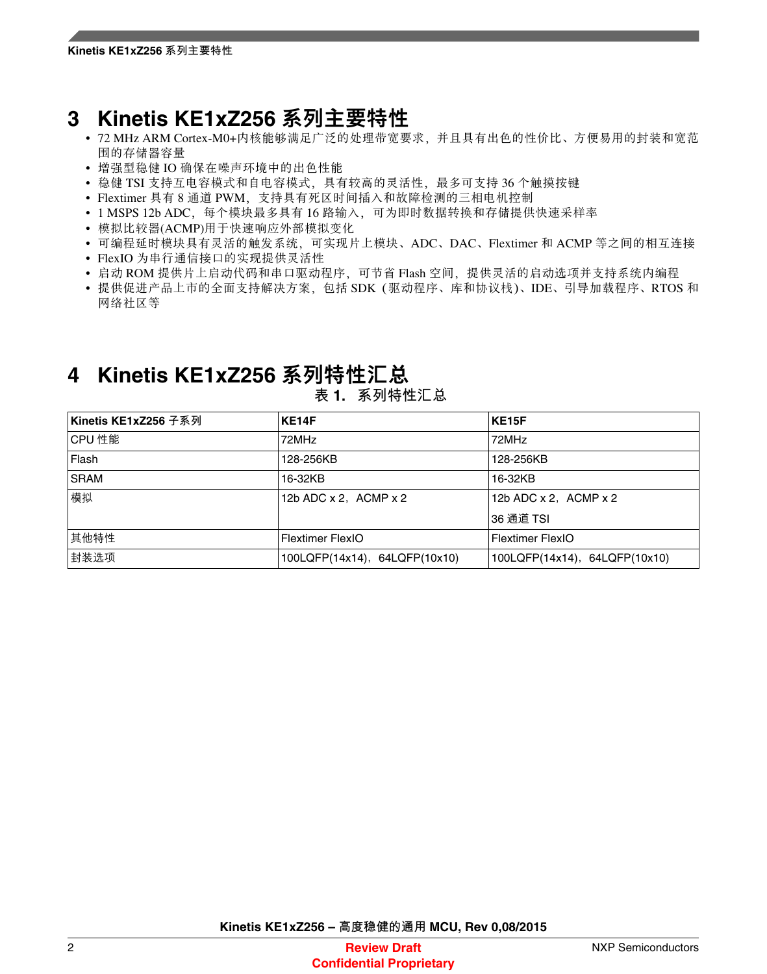## <span id="page-1-0"></span>**3 Kinetis KE1xZ256** 系列主要特性

- 72 MHz ARM Cortex-M0+内核能够满足广泛的处理带宽要求,并且具有出色的性价比、方便易用的封装和宽范 围的存储器容量
- 增强型稳健 IO 确保在噪声环境中的出色性能
- 稳健 TSI 支持互电容模式和自电容模式,具有较高的灵活性,最多可支持 36 个触摸按键
- Flextimer 具有 8 通道 PWM,支持具有死区时间插入和故障检测的三相电机控制
- 1 MSPS 12b ADC, 每个模块最多具有 16 路输入, 可为即时数据转换和存储提供快速采样率
- 模拟比较器(ACMP)用于快速响应外部模拟变化
- 可编程延时模块具有灵活的触发系统,可实现片上模块、ADC、DAC、Flextimer 和 ACMP 等之间的相互连接
- FlexIO 为串行通信接口的实现提供灵活性
- 启动 ROM 提供片上启动代码和串口驱动程序,可节省 Flash 空间,提供灵活的启动选项并支持系统内编程
- 提供促进产品上市的全面支持解决方案,包括 SDK(驱动程序、库和协议栈)、IDE、引导加载程序、RTOS 和 网络社区等

## **4 Kinetis KE1xZ256** 系列特性汇总

| Kinetis KE1xZ256 子系列 | KE14F                         | <b>KE15F</b>                  |
|----------------------|-------------------------------|-------------------------------|
| ICPU 性能              | 72MHz                         | 72MHz                         |
| Flash                | 128-256KB                     | 128-256KB                     |
| SRAM                 | 16-32KB                       | 16-32KB                       |
| 模拟                   | 12b ADC x 2, ACMP x 2         | 12b ADC $x$ 2, ACMP $x$ 2     |
|                      |                               | 36 通道 TSI                     |
| 其他特性                 | <b>Flextimer FlexIO</b>       | Flextimer FlexIO              |
| 封装选项                 | 100LQFP(14x14), 64LQFP(10x10) | 100LQFP(14x14), 64LQFP(10x10) |

#### **表 1. 系列特性汇总**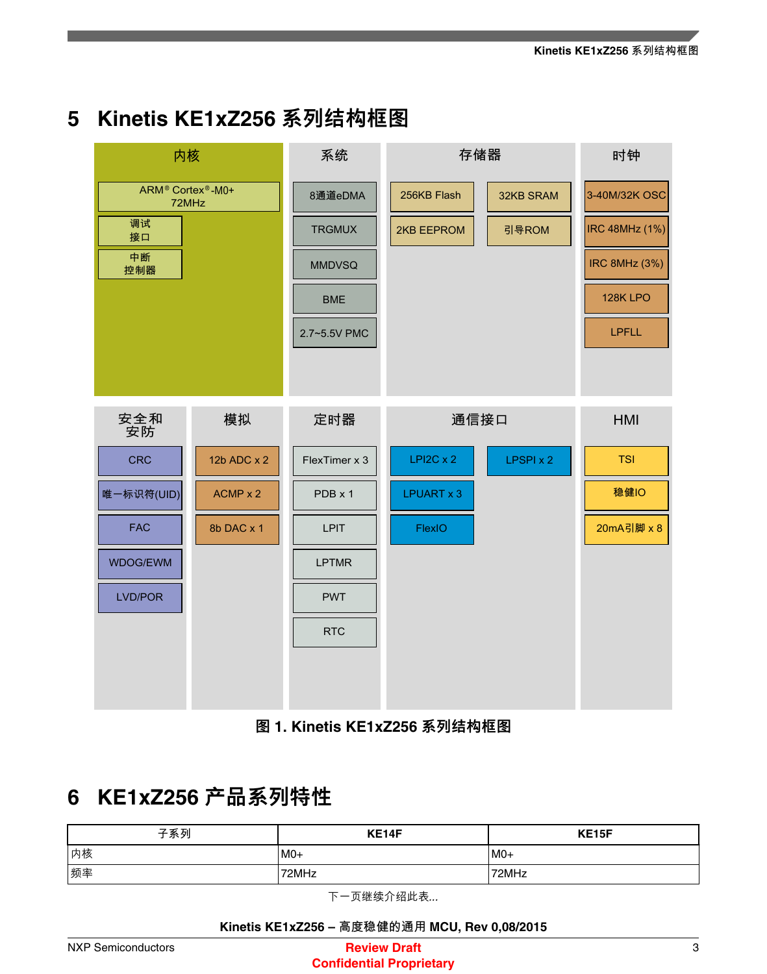## <span id="page-2-0"></span>**5 Kinetis KE1xZ256** 系列结构框图

| 内核                                                 |             | 系统            | 存储器              |           | 时钟                    |
|----------------------------------------------------|-------------|---------------|------------------|-----------|-----------------------|
| ARM <sup>®</sup> Cortex <sup>®</sup> -M0+<br>72MHz |             | 8通道eDMA       | 256KB Flash      | 32KB SRAM | 3-40M/32K OSC         |
| 调试<br>接口                                           |             | <b>TRGMUX</b> | 2KB EEPROM       | 引导ROM     | <b>IRC 48MHz (1%)</b> |
| 中断<br>控制器                                          |             | <b>MMDVSQ</b> |                  |           | <b>IRC 8MHz (3%)</b>  |
|                                                    |             | <b>BME</b>    |                  |           | 128K LPO              |
|                                                    |             | 2.7~5.5V PMC  |                  |           | <b>LPFLL</b>          |
|                                                    |             |               |                  |           |                       |
| 安全和<br>安防                                          | 模拟          | 定时器           | 通信接口             |           | <b>HMI</b>            |
| <b>CRC</b>                                         | 12b ADC x 2 | FlexTimer x 3 | $LPI2C \times 2$ | LPSPI x 2 | <b>TSI</b>            |
| 唯一标识符(UID)                                         | ACMP x 2    | PDB x 1       | LPUART x 3       |           | 稳健IO                  |
| <b>FAC</b>                                         | 8b DAC x 1  | <b>LPIT</b>   | FlexIO           |           | 20mA引脚 x 8            |
| WDOG/EWM                                           |             | <b>LPTMR</b>  |                  |           |                       |
| LVD/POR                                            |             | <b>PWT</b>    |                  |           |                       |
|                                                    |             | <b>RTC</b>    |                  |           |                       |
|                                                    |             |               |                  |           |                       |
|                                                    |             |               |                  |           |                       |

图 **1. Kinetis KE1xZ256** 系列结构框图

## **6 KE1xZ256** 产品系列特性

| 子系列 | KE14F  | KE15F |
|-----|--------|-------|
| 内核  | $ MO+$ | $MO+$ |
| 频率  | 72MHz  | 72MHz |

下一页继续介绍此表*...*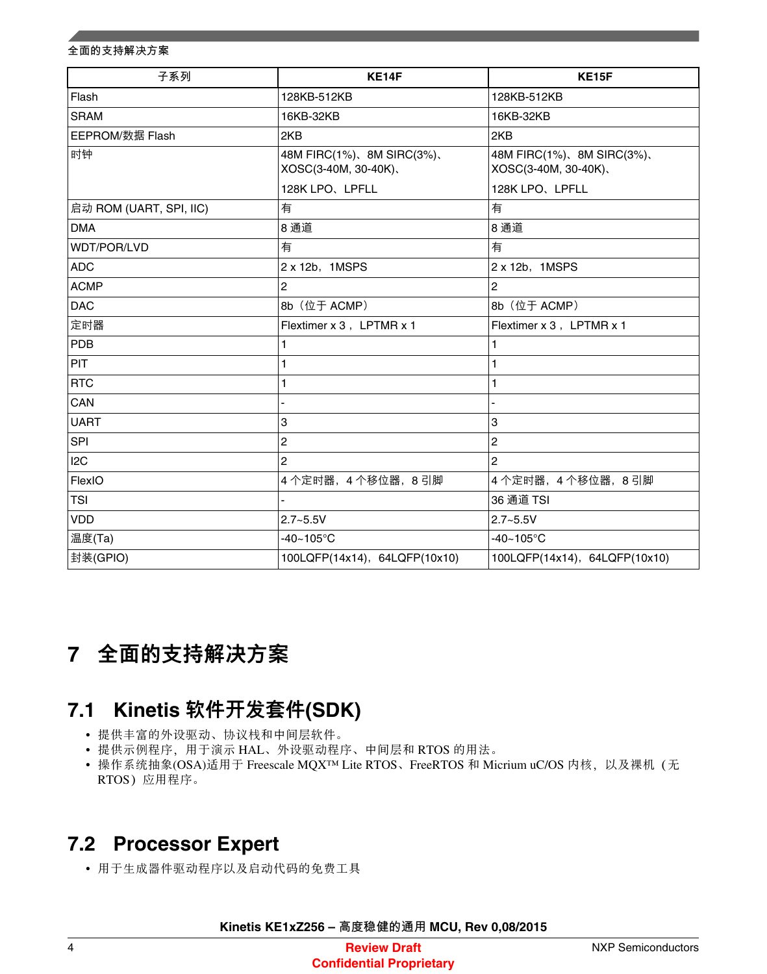#### <span id="page-3-0"></span>**全面的支持解决方案**

| 子系列<br>KE14F            |                                                                | <b>KE15F</b>                                       |
|-------------------------|----------------------------------------------------------------|----------------------------------------------------|
| Flash                   | 128KB-512KB<br>128KB-512KB                                     |                                                    |
| <b>SRAM</b>             | 16KB-32KB                                                      | 16KB-32KB                                          |
| <b>EEPROM/数据 Flash</b>  | 2KB                                                            | 2KB                                                |
| 时钟                      | 48M FIRC(1%), 8M SIRC(3%),<br>XOSC(3-40M, 30-40K),             | 48M FIRC(1%), 8M SIRC(3%),<br>XOSC(3-40M, 30-40K), |
|                         | 128K LPO、LPFLL                                                 | 128K LPO、LPFLL                                     |
| 启动 ROM (UART, SPI, IIC) | 有                                                              | 有                                                  |
| <b>DMA</b>              | 8通道                                                            | 8 通道                                               |
| WDT/POR/LVD             | 有                                                              | 有                                                  |
| <b>ADC</b>              | 2 x 12b, 1MSPS                                                 | $2 \times 12b$ , 1MSPS                             |
| <b>ACMP</b>             | $\overline{2}$                                                 | $\overline{2}$                                     |
| <b>DAC</b>              | 8b (位于 ACMP)                                                   | 8b (位于 ACMP)                                       |
| 定时器                     | Flextimer x 3, LPTMR x 1                                       | Flextimer x 3, LPTMR x 1                           |
| PDB                     | 1                                                              | $\mathbf{1}$                                       |
| PIT                     | $\mathbf{1}$                                                   | $\mathbf{1}$                                       |
| <b>RTC</b>              | 1                                                              | $\mathbf{1}$                                       |
| CAN                     |                                                                |                                                    |
| <b>UART</b>             | 3                                                              | 3                                                  |
| SPI                     | $\overline{c}$                                                 | $\overline{2}$                                     |
| 12C                     | 2                                                              | $\overline{2}$                                     |
| FlexIO                  | 4个定时器, 4个移位器, 8引脚                                              | 4个定时器, 4个移位器, 8引脚                                  |
| <b>TSI</b>              |                                                                | 36 通道 TSI                                          |
| VDD                     | $2.7 - 5.5V$                                                   | $2.7 - 5.5V$                                       |
| 温度(Ta)                  | $-40 - 105$ °C                                                 | $-40 - 105$ °C                                     |
| 封装(GPIO)                | 100LQFP(14x14), 64LQFP(10x10)<br>100LQFP(14x14), 64LQFP(10x10) |                                                    |

## 全面的支持解决方案 **7**

# **7.1 Kinetis** 软件开发套件**(SDK)**

- 提供丰富的外设驱动、协议栈和中间层软件。
- 提供示例程序,用于演示 HAL、外设驱动程序、中间层和 RTOS 的用法。
- 操作系统抽象(OSA)适用于 Freescale MQX™ Lite RTOS、FreeRTOS 和 Micrium uC/OS 内核, 以及裸机(无 RTOS) 应用程序。

### **7.2 Processor Expert**

• 用于生成器件驱动程序以及启动代码的免费工具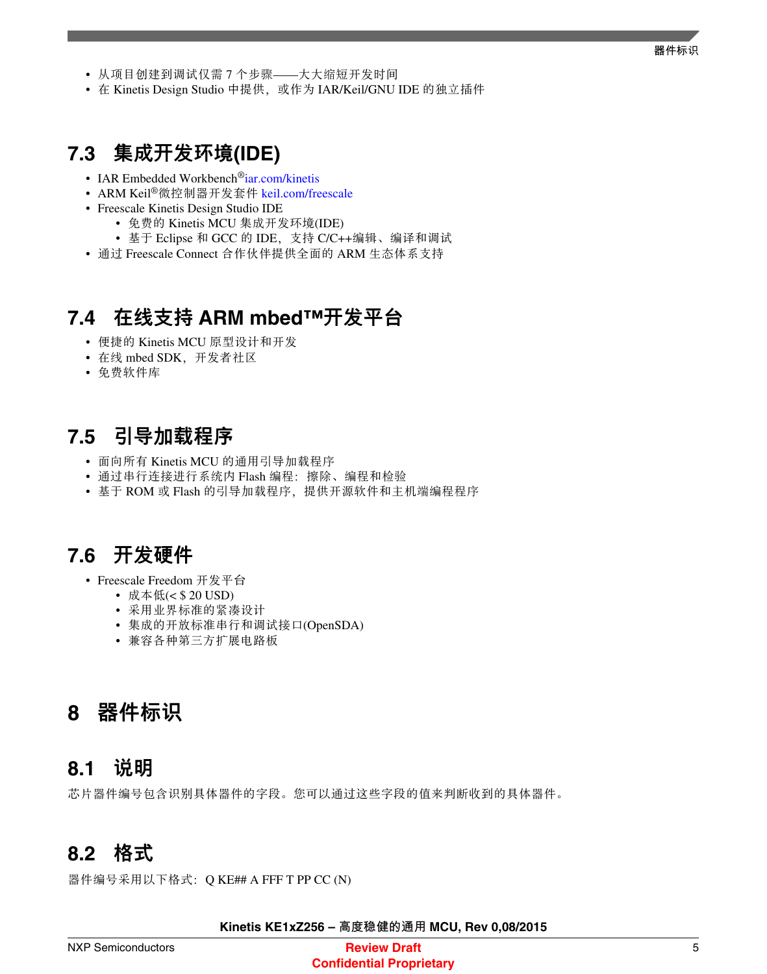- <span id="page-4-0"></span>• 从项目创建到调试仅需 7 个步骤——大大缩短开发时间
- 在 Kinetis Design Studio 中提供, 或作为 IAR/Keil/GNU IDE 的独立插件

### **7.3** 集成开发环境**(IDE)**

- IAR Embedded Workbench®[iar.com/kinetis](http://www.iar.com/kinetis)
- ARM Keil®微控制器开发套件 [keil.com/freescale](http://www.keil.com/freescale)
- Freescale Kinetis Design Studio IDE
	- 免费的 Kinetis MCU 集成开发环境(IDE)
	- 基于 Eclipse 和 GCC 的 IDE,支持 C/C++编辑、编译和调试
- 通过 Freescale Connect 合作伙伴提供全面的 ARM 生态体系支持

### **7.4** 在线支持 **ARM mbed™**开发平台

- 便捷的 Kinetis MCU 原型设计和开发
- 在线 mbed SDK, 开发者社区
- 免费软件库

### **7.5** 引导加载程序

- 面向所有 Kinetis MCU 的通用引导加载程序
- 通过串行连接进行系统内 Flash 编程:擦除、编程和检验
- 基于 ROM 或 Flash 的引导加载程序, 提供开源软件和主机端编程程序

#### **7.6** 开发硬件

- Freescale Freedom 开发平台
	- 成本低(< \$ 20 USD)
	- 采用业界标准的紧凑设计
	- 集成的开放标准串行和调试接口(OpenSDA)
	- 兼容各种第三方扩展电路板

### 器件标识 **8**

### **8.1** 说明

芯片器件编号包含识别具体器件的字段。您可以通过这些字段的值来判断收到的具体器件。

#### **8.2** 格式

器件编号采用以下格式: Q KE## A FFF T PP CC (N)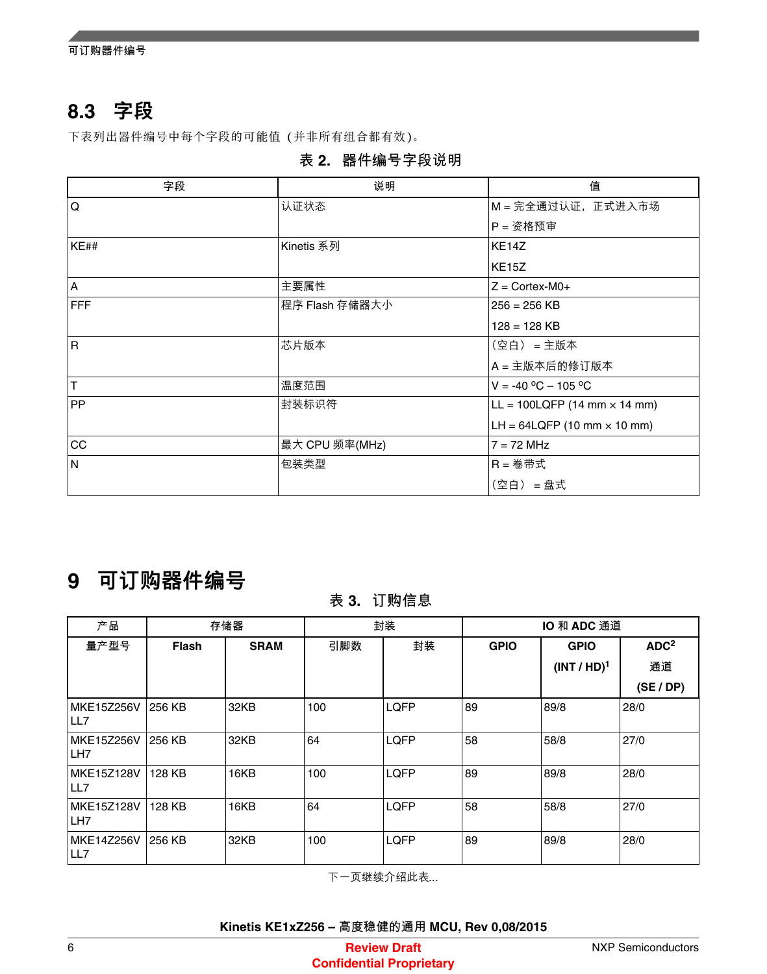<span id="page-5-0"></span>**可订购器件编号**

## **8.3** 字段

下表列出器件编号中每个字段的可能值(并非所有组合都有效)。

**表 2. 器件编号字段说明**

| 字段         | 说明             | 值                                     |
|------------|----------------|---------------------------------------|
| Q          | 认证状态           | M = 完全通过认证, 正式进入市场                    |
|            |                | P = 资格预审                              |
| KE##       | Kinetis 系列     | KE <sub>14</sub> Z                    |
|            |                | <b>KE15Z</b>                          |
| A          | 主要属性           | $Z = \text{Cortex-M0+}$               |
| <b>FFF</b> | 程序 Flash 存储器大小 | $256 = 256$ KB                        |
|            |                | $128 = 128$ KB                        |
| R          | 芯片版本           | (空白) = 主版本                            |
|            |                | A = 主版本后的修订版本                         |
| T          | 温度范围           | $V = -40 °C - 105 °C$                 |
| <b>PP</b>  | 封装标识符          | $LL = 100LQFP (14 mm × 14 mm)$        |
|            |                | LH = $64$ LQFP (10 mm $\times$ 10 mm) |
| CC         | 最大 CPU 频率(MHz) | $7 = 72$ MHz                          |
| N          | 包装类型           | $R =$ 卷带式                             |
|            |                | (空白) = 盘式                             |

## **9** 可订购器件编号

#### **表 3. 订购信息**

| 产品                                   | 存储器          |             | 封装  |             | IO 和 ADC 通道 |                         |                  |
|--------------------------------------|--------------|-------------|-----|-------------|-------------|-------------------------|------------------|
| 量产型号                                 | <b>Flash</b> | <b>SRAM</b> | 引脚数 | 封装          | <b>GPIO</b> | <b>GPIO</b>             | ADC <sup>2</sup> |
|                                      |              |             |     |             |             | (INT / HD) <sup>1</sup> | 通道               |
|                                      |              |             |     |             |             |                         | (SE / DP)        |
| MKE15Z256V<br>LL7                    | 256 KB       | 32KB        | 100 | <b>LQFP</b> | 89          | 89/8                    | 28/0             |
| <b>MKE15Z256V</b><br>LH <sub>7</sub> | 256 KB       | 32KB        | 64  | <b>LQFP</b> | 58          | 58/8                    | 27/0             |
| <b>MKE15Z128V</b><br>LL7             | 128 KB       | 16KB        | 100 | <b>LQFP</b> | 89          | 89/8                    | 28/0             |
| <b>MKE15Z128V</b><br>LH <sub>7</sub> | 128 KB       | 16KB        | 64  | <b>LQFP</b> | 58          | 58/8                    | 27/0             |
| MKE14Z256V<br>LL7                    | 256 KB       | 32KB        | 100 | <b>LQFP</b> | 89          | 89/8                    | 28/0             |

下一页继续介绍此表*...*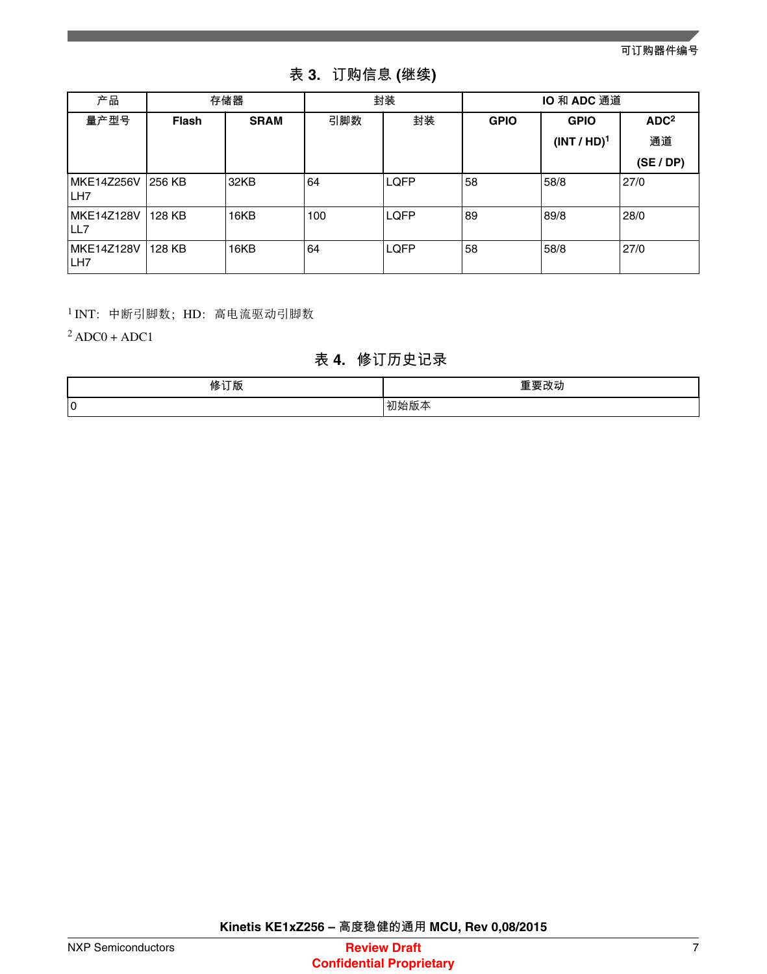**可订购器件编号**

| 产品                 | 存储器          |             | 封装  |             | IO 和 ADC 通道 |                |                  |
|--------------------|--------------|-------------|-----|-------------|-------------|----------------|------------------|
| 量产型号               | <b>Flash</b> | <b>SRAM</b> | 引脚数 | 封装          | <b>GPIO</b> | <b>GPIO</b>    | ADC <sup>2</sup> |
|                    |              |             |     |             |             | $(INT / HD)^1$ | 通道               |
|                    |              |             |     |             |             |                | (SE / DP)        |
| MKE14Z256V<br>ILH7 | 1256 KB      | 32KB        | 64  | <b>LOFP</b> | 58          | 58/8           | 27/0             |
| MKE14Z128V<br>ILL7 | 128 KB       | 16KB        | 100 | LQFP        | 89          | 89/8           | 28/0             |
| MKE14Z128V<br>ILH7 | 128 KB       | 16KB        | 64  | LQFP        | 58          | 58/8           | 27/0             |

**表 3. 订购信息 (继续)**

<sup>1</sup>INT:中断引脚数;HD:高电流驱动引脚数

 $2$  ADC0 + ADC1

#### **表 4. 修订历史记录**

| 修订些<br>颀 | $\overline{I}$ |
|----------|----------------|
| 0        | íЛX            |